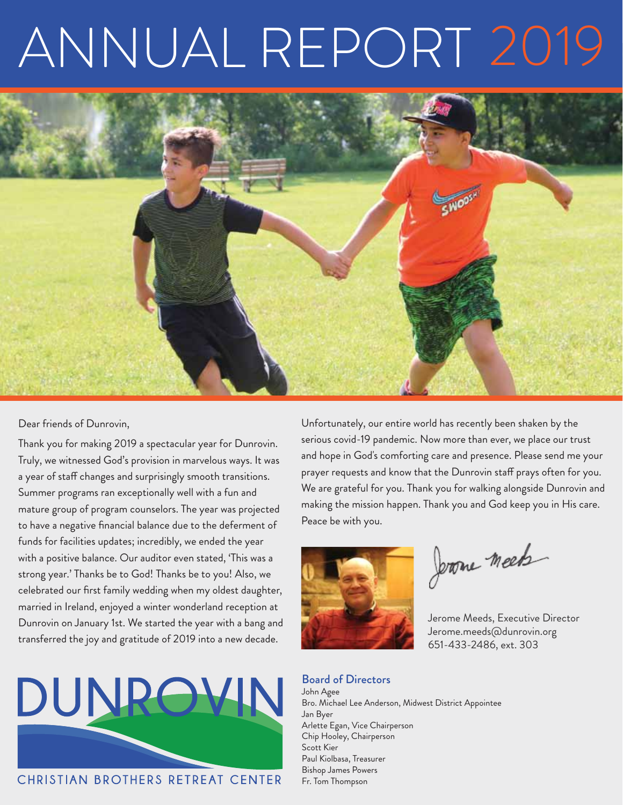# ANNUAL REPORT 2019



#### Dear friends of Dunrovin,

Thank you for making 2019 a spectacular year for Dunrovin. Truly, we witnessed God's provision in marvelous ways. It was a year of staff changes and surprisingly smooth transitions. Summer programs ran exceptionally well with a fun and mature group of program counselors. The year was projected to have a negative financial balance due to the deferment of funds for facilities updates; incredibly, we ended the year with a positive balance. Our auditor even stated, 'This was a strong year.' Thanks be to God! Thanks be to you! Also, we celebrated our first family wedding when my oldest daughter, married in Ireland, enjoyed a winter wonderland reception at Dunrovin on January 1st. We started the year with a bang and transferred the joy and gratitude of 2019 into a new decade.



CHRISTIAN BROTHERS RETREAT CENTER

Unfortunately, our entire world has recently been shaken by the serious covid-19 pandemic. Now more than ever, we place our trust and hope in God's comforting care and presence. Please send me your prayer requests and know that the Dunrovin staff prays often for you. We are grateful for you. Thank you for walking alongside Dunrovin and making the mission happen. Thank you and God keep you in His care. Peace be with you.



Jerome meet

Jerome Meeds, Executive Director Jerome.meeds@dunrovin.org 651-433-2486, ext. 303

Board of Directors John Agee Bro. Michael Lee Anderson, Midwest District Appointee Jan Byer Arlette Egan, Vice Chairperson Chip Hooley, Chairperson Scott Kier Paul Kiolbasa, Treasurer Bishop James Powers Fr. Tom Thompson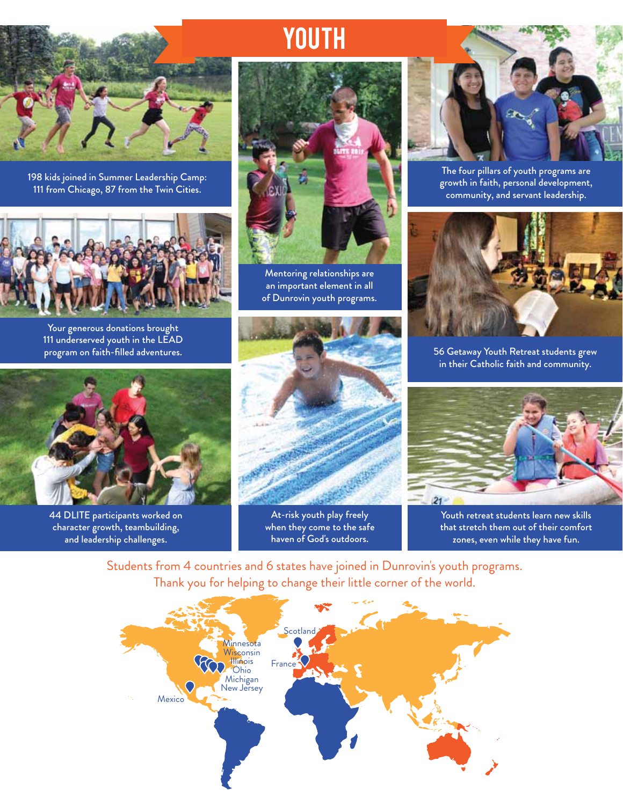

198 kids joined in Summer Leadership Camp: 111 from Chicago, 87 from the Twin Cities.



Your generous donations brought 111 underserved youth in the LEAD program on faith-filled adventures.



**YOUTH** 

Mentoring relationships are an important element in all of Dunrovin youth programs.



The four pillars of youth programs are growth in faith, personal development, community, and servant leadership.



56 Getaway Youth Retreat students grew in their Catholic faith and community.



44 DLITE participants worked on character growth, teambuilding, and leadership challenges.



At-risk youth play freely when they come to the safe haven of God's outdoors.



Youth retreat students learn new skills that stretch them out of their comfort zones, even while they have fun.

Students from 4 countries and 6 states have joined in Dunrovin's youth programs. Thank you for helping to change their little corner of the world.

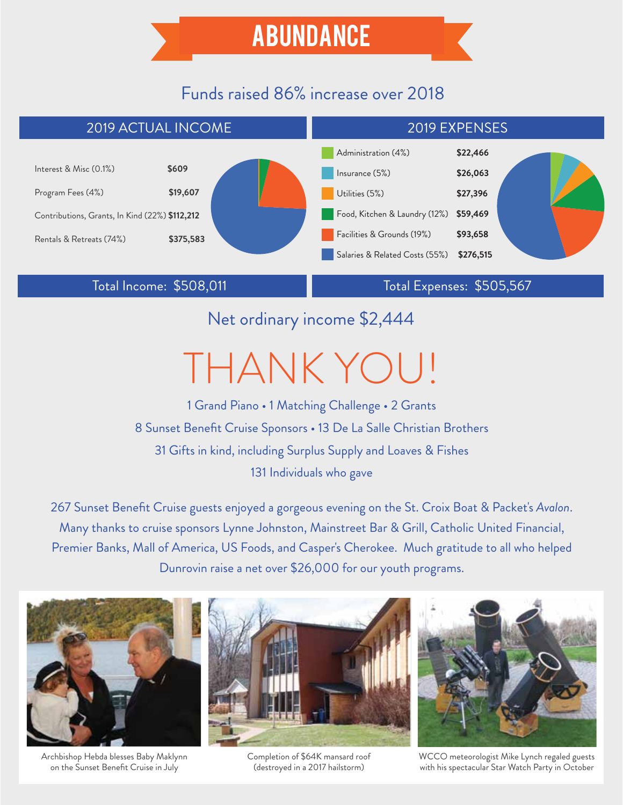## Funds raised 86% increase over 2018



Total Income: \$508,011 Total Expenses: \$505,567

Net ordinary income \$2,444

# THANK YOU!

1 Grand Piano • 1 Matching Challenge • 2 Grants 8 Sunset Benefit Cruise Sponsors • 13 De La Salle Christian Brothers 31 Gifts in kind, including Surplus Supply and Loaves & Fishes 131 Individuals who gave

267 Sunset Benefit Cruise guests enjoyed a gorgeous evening on the St. Croix Boat & Packet's *Avalon*. Many thanks to cruise sponsors Lynne Johnston, Mainstreet Bar & Grill, Catholic United Financial, Premier Banks, Mall of America, US Foods, and Casper's Cherokee. Much gratitude to all who helped Dunrovin raise a net over \$26,000 for our youth programs.



Archbishop Hebda blesses Baby Maklynn on the Sunset Benefit Cruise in July



Completion of \$64K mansard roof (destroyed in a 2017 hailstorm)



WCCO meteorologist Mike Lynch regaled guests with his spectacular Star Watch Party in October